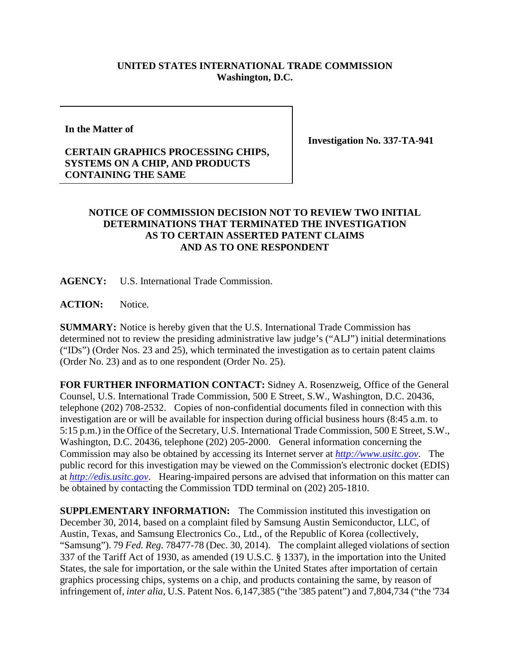# **UNITED STATES INTERNATIONAL TRADE COMMISSION Washington, D.C.**

#### **In the Matter of**

#### **Investigation No. 337-TA-941**

### **CERTAIN GRAPHICS PROCESSING CHIPS, SYSTEMS ON A CHIP, AND PRODUCTS CONTAINING THE SAME**

## **NOTICE OF COMMISSION DECISION NOT TO REVIEW TWO INITIAL DETERMINATIONS THAT TERMINATED THE INVESTIGATION AS TO CERTAIN ASSERTED PATENT CLAIMS AND AS TO ONE RESPONDENT**

**AGENCY:** U.S. International Trade Commission.

**ACTION:** Notice.

**SUMMARY:** Notice is hereby given that the U.S. International Trade Commission has determined not to review the presiding administrative law judge's ("ALJ") initial determinations ("IDs") (Order Nos. 23 and 25), which terminated the investigation as to certain patent claims (Order No. 23) and as to one respondent (Order No. 25).

**FOR FURTHER INFORMATION CONTACT:** Sidney A. Rosenzweig, Office of the General Counsel, U.S. International Trade Commission, 500 E Street, S.W., Washington, D.C. 20436, telephone (202) 708-2532. Copies of non-confidential documents filed in connection with this investigation are or will be available for inspection during official business hours (8:45 a.m. to 5:15 p.m.) in the Office of the Secretary, U.S. International Trade Commission, 500 E Street, S.W., Washington, D.C. 20436, telephone (202) 205-2000. General information concerning the Commission may also be obtained by accessing its Internet server at *[http://www.usitc.gov](http://www.usitc.gov/)*. The public record for this investigation may be viewed on the Commission's electronic docket (EDIS) at *[http://edis.usitc.gov](http://edis.usitc.gov/)*. Hearing-impaired persons are advised that information on this matter can be obtained by contacting the Commission TDD terminal on (202) 205-1810.

**SUPPLEMENTARY INFORMATION:** The Commission instituted this investigation on December 30, 2014, based on a complaint filed by Samsung Austin Semiconductor, LLC, of Austin, Texas, and Samsung Electronics Co., Ltd., of the Republic of Korea (collectively, "Samsung"). 79 *Fed. Reg.* 78477-78 (Dec. 30, 2014). The complaint alleged violations of section 337 of the Tariff Act of 1930, as amended (19 U.S.C. § 1337), in the importation into the United States, the sale for importation, or the sale within the United States after importation of certain graphics processing chips, systems on a chip, and products containing the same, by reason of infringement of, *inter alia*, U.S. Patent Nos. 6,147,385 ("the '385 patent") and 7,804,734 ("the '734